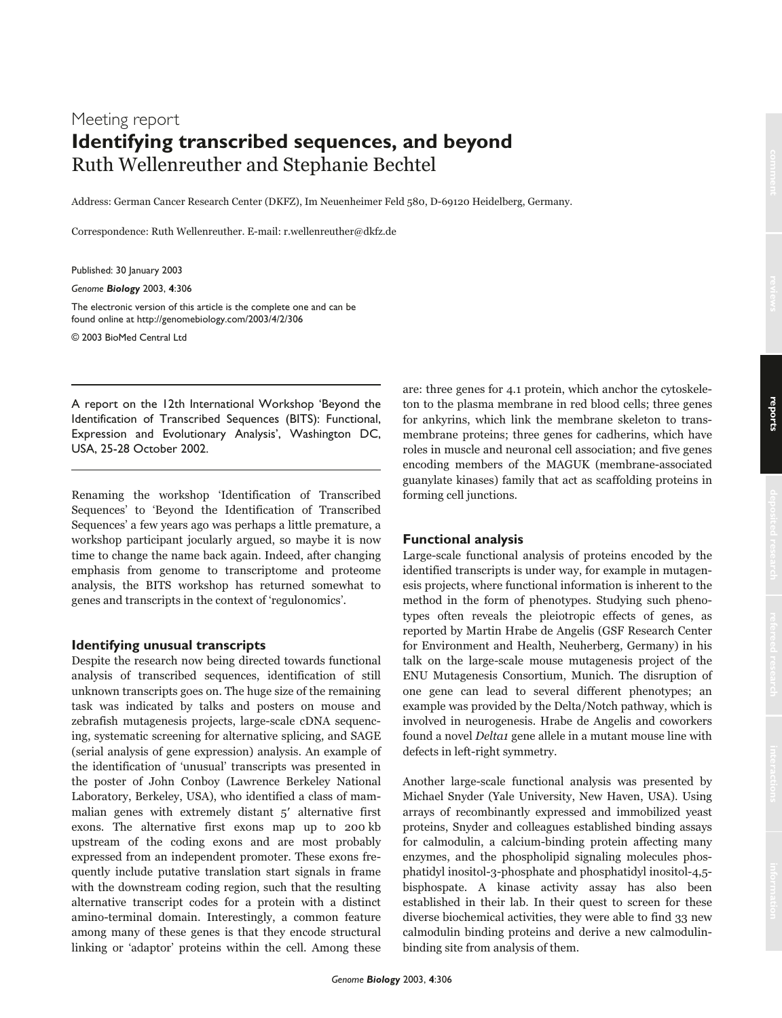# Meeting report **Identifying transcribed sequences, and beyond**  Ruth Wellenreuther and Stephanie Bechtel

Address: German Cancer Research Center (DKFZ), Im Neuenheimer Feld 580, D-69120 Heidelberg, Germany.

Correspondence: Ruth Wellenreuther. E-mail: r.wellenreuther@dkfz.de

Published: 30 January 2003

*Genome Biology* 2003, **4**:306

The electronic version of this article is the complete one and can be found online at http://genomebiology.com/2003/4/2/306

© 2003 BioMed Central Ltd

A report on the 12th International Workshop 'Beyond the Identification of Transcribed Sequences (BITS): Functional, Expression and Evolutionary Analysis', Washington DC, USA, 25-28 October 2002.

Renaming the workshop 'Identification of Transcribed Sequences' to 'Beyond the Identification of Transcribed Sequences' a few years ago was perhaps a little premature, a workshop participant jocularly argued, so maybe it is now time to change the name back again. Indeed, after changing emphasis from genome to transcriptome and proteome analysis, the BITS workshop has returned somewhat to genes and transcripts in the context of 'regulonomics'.

## **Identifying unusual transcripts**

Despite the research now being directed towards functional analysis of transcribed sequences, identification of still unknown transcripts goes on. The huge size of the remaining task was indicated by talks and posters on mouse and zebrafish mutagenesis projects, large-scale cDNA sequencing, systematic screening for alternative splicing, and SAGE (serial analysis of gene expression) analysis. An example of the identification of 'unusual' transcripts was presented in the poster of John Conboy (Lawrence Berkeley National Laboratory, Berkeley, USA), who identified a class of mammalian genes with extremely distant 5' alternative first exons. The alternative first exons map up to 200 kb upstream of the coding exons and are most probably expressed from an independent promoter. These exons frequently include putative translation start signals in frame with the downstream coding region, such that the resulting alternative transcript codes for a protein with a distinct amino-terminal domain. Interestingly, a common feature among many of these genes is that they encode structural linking or 'adaptor' proteins within the cell. Among these

are: three genes for 4.1 protein, which anchor the cytoskeleton to the plasma membrane in red blood cells; three genes for ankyrins, which link the membrane skeleton to transmembrane proteins; three genes for cadherins, which have roles in muscle and neuronal cell association; and five genes encoding members of the MAGUK (membrane-associated guanylate kinases) family that act as scaffolding proteins in forming cell junctions.

### **Functional analysis**

Large-scale functional analysis of proteins encoded by the identified transcripts is under way, for example in mutagenesis projects, where functional information is inherent to the method in the form of phenotypes. Studying such phenotypes often reveals the pleiotropic effects of genes, as reported by Martin Hrabe de Angelis (GSF Research Center for Environment and Health, Neuherberg, Germany) in his talk on the large-scale mouse mutagenesis project of the ENU Mutagenesis Consortium, Munich. The disruption of one gene can lead to several different phenotypes; an example was provided by the Delta/Notch pathway, which is involved in neurogenesis. Hrabe de Angelis and coworkers found a novel Delta1 gene allele in a mutant mouse line with defects in left-right symmetry.

Another large-scale functional analysis was presented by Michael Snyder (Yale University, New Haven, USA). Using arrays of recombinantly expressed and immobilized yeast proteins, Snyder and colleagues established binding assays for calmodulin, a calcium-binding protein affecting many enzymes, and the phospholipid signaling molecules phosphatidyl inositol-3-phosphate and phosphatidyl inositol-4,5 bisphospate. A kinase activity assay has also been established in their lab. In their quest to screen for these diverse biochemical activities, they were able to find 33 new calmodulin binding proteins and derive a new calmodulinbinding site from analysis of them.